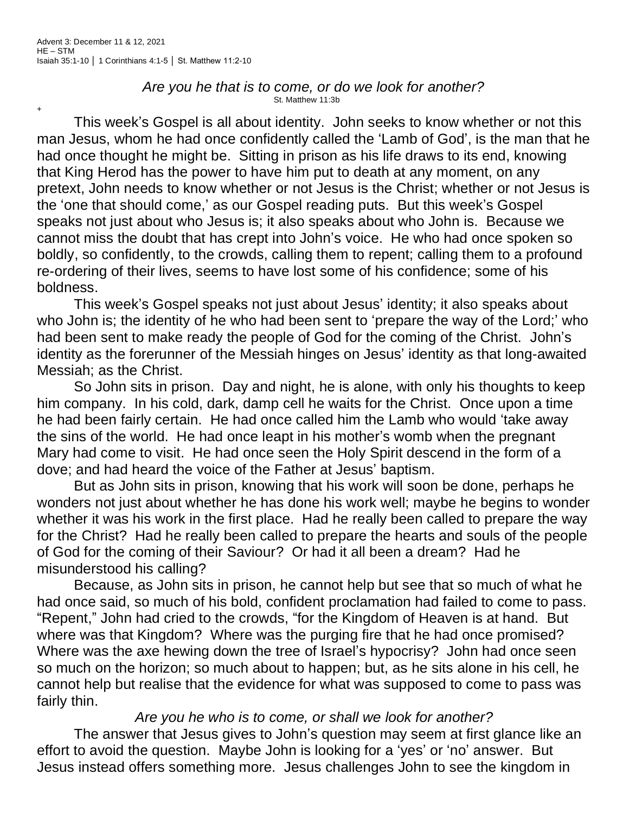+

## *Are you he that is to come, or do we look for another?* St. Matthew 11:3b

This week's Gospel is all about identity. John seeks to know whether or not this man Jesus, whom he had once confidently called the 'Lamb of God', is the man that he had once thought he might be. Sitting in prison as his life draws to its end, knowing that King Herod has the power to have him put to death at any moment, on any pretext, John needs to know whether or not Jesus is the Christ; whether or not Jesus is the 'one that should come,' as our Gospel reading puts. But this week's Gospel speaks not just about who Jesus is; it also speaks about who John is. Because we cannot miss the doubt that has crept into John's voice. He who had once spoken so boldly, so confidently, to the crowds, calling them to repent; calling them to a profound re-ordering of their lives, seems to have lost some of his confidence; some of his boldness.

This week's Gospel speaks not just about Jesus' identity; it also speaks about who John is; the identity of he who had been sent to 'prepare the way of the Lord;' who had been sent to make ready the people of God for the coming of the Christ. John's identity as the forerunner of the Messiah hinges on Jesus' identity as that long-awaited Messiah; as the Christ.

So John sits in prison. Day and night, he is alone, with only his thoughts to keep him company. In his cold, dark, damp cell he waits for the Christ. Once upon a time he had been fairly certain. He had once called him the Lamb who would 'take away the sins of the world. He had once leapt in his mother's womb when the pregnant Mary had come to visit. He had once seen the Holy Spirit descend in the form of a dove; and had heard the voice of the Father at Jesus' baptism.

But as John sits in prison, knowing that his work will soon be done, perhaps he wonders not just about whether he has done his work well; maybe he begins to wonder whether it was his work in the first place. Had he really been called to prepare the way for the Christ? Had he really been called to prepare the hearts and souls of the people of God for the coming of their Saviour? Or had it all been a dream? Had he misunderstood his calling?

Because, as John sits in prison, he cannot help but see that so much of what he had once said, so much of his bold, confident proclamation had failed to come to pass. "Repent," John had cried to the crowds, "for the Kingdom of Heaven is at hand. But where was that Kingdom? Where was the purging fire that he had once promised? Where was the axe hewing down the tree of Israel's hypocrisy? John had once seen so much on the horizon; so much about to happen; but, as he sits alone in his cell, he cannot help but realise that the evidence for what was supposed to come to pass was fairly thin.

## *Are you he who is to come, or shall we look for another?*

The answer that Jesus gives to John's question may seem at first glance like an effort to avoid the question. Maybe John is looking for a 'yes' or 'no' answer. But Jesus instead offers something more. Jesus challenges John to see the kingdom in